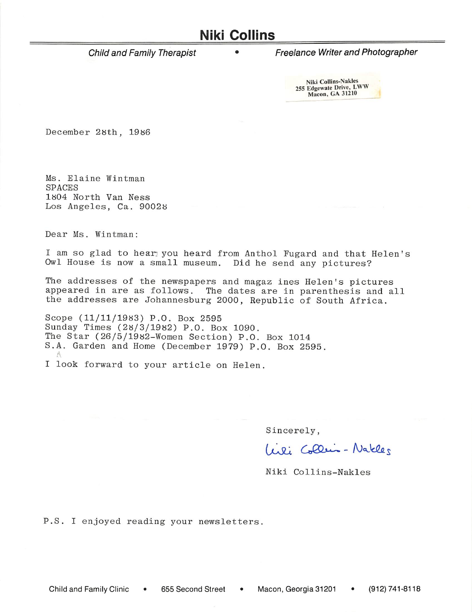Child and Family Therapist • Freelance Writer and Photographer

Niki CoUins-Nakles 255 Edgewale Drive, LWW Macon, GA 31210

December 28th, 1986

Ms. Elaine Wintman SPACES 1804 North Van Ness Los Angeles, Ca. 90028

Dear Ms. Wintman:

I am so glad to hear you heard from Anthol Fugard and that Helen's Owl House is now a small museum. Did he send any pictures?

The addresses of the newspapers and magaz ines Helen's pictures appeared in are as follows. The dates are in parenthesis and all the addresses are Johannesburg 2000, Republic of South Africa.

Scope (11/11/1983) P.O. Box 2595 Sunday Times (28/3/1982) P.O. Box 1090. The Star  $(26/5/1982 -$ Women Section) P.O. Box 1014 S.A. Garden and Home (December 1979) P.O. Box 2595.  $\frac{1}{2}$ I look forward to your article on Helen.

Sincerely,

Like Colleis - Nakles

Niki Collins-Nakles

P.S. I enjoyed reading your newsletters.